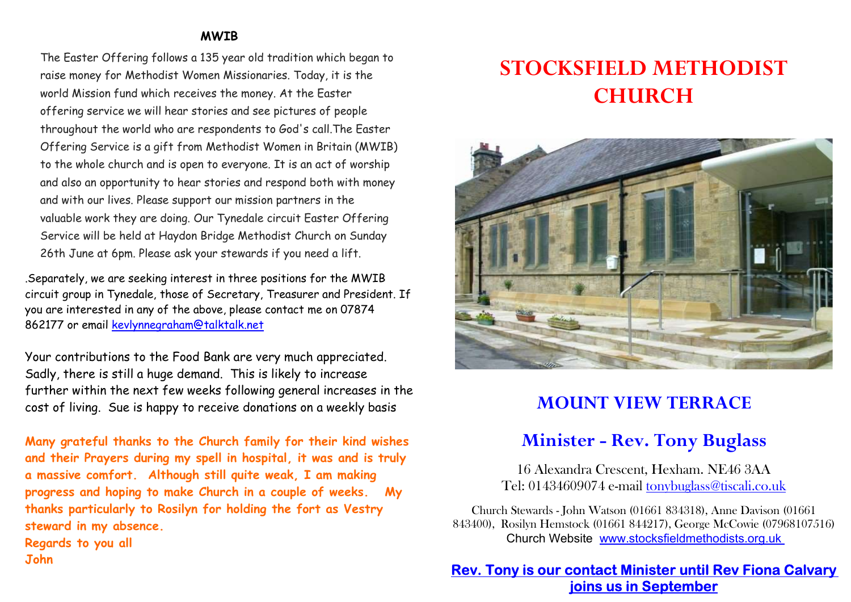#### MWIB

The Easter Offering follows a 135 year old tradition which began to raise money for Methodist Women Missionaries. Today, it is the world Mission fund which receives the money. At the Easter offering service we will hear stories and see pictures of people throughout the world who are respondents to God's call.The Easter Offering Service is a gift from Methodist Women in Britain (MWIB) to the whole church and is open to everyone. It is an act of worship and also an opportunity to hear stories and respond both with money and with our lives. Please support our mission partners in the valuable work they are doing. Our Tynedale circuit Easter Offering Service will be held at Haydon Bridge Methodist Church on Sunday 26th June at 6pm. Please ask your stewards if you need a lift.

.Separately, we are seeking interest in three positions for the MWIB circuit group in Tynedale, those of Secretary, Treasurer and President. If you are interested in any of the above, please contact me on 07874 862177 or email kevlynnegraham@talktalk.net

Your contributions to the Food Bank are very much appreciated. Sadly, there is still a huge demand. This is likely to increase further within the next few weeks following general increases in the cost of living. Sue is happy to receive donations on a weekly basis

Many grateful thanks to the Church family for their kind wishes and their Prayers during my spell in hospital, it was and is truly a massive comfort. Although still quite weak, I am making progress and hoping to make Church in a couple of weeks. My thanks particularly to Rosilyn for holding the fort as Vestry steward in my absence. Regards to you all John

# STOCKSFIELD METHODIST CHURCH



## MOUNT VIEW TERRACE

### Minister - Rev. Tony Buglass

16 Alexandra Crescent, Hexham. NE46 3AA Tel: 01434609074 e-mail tonybuglass@tiscali.co.uk

Church Stewards - John Watson (01661 834318), Anne Davison (01661 843400), Rosilyn Hemstock (01661 844217), George McCowie (07968107516) Church Website www.stocksfieldmethodists.org.uk

#### Rev. Tony is our contact Minister until Rev Fiona Calvary joins us in September